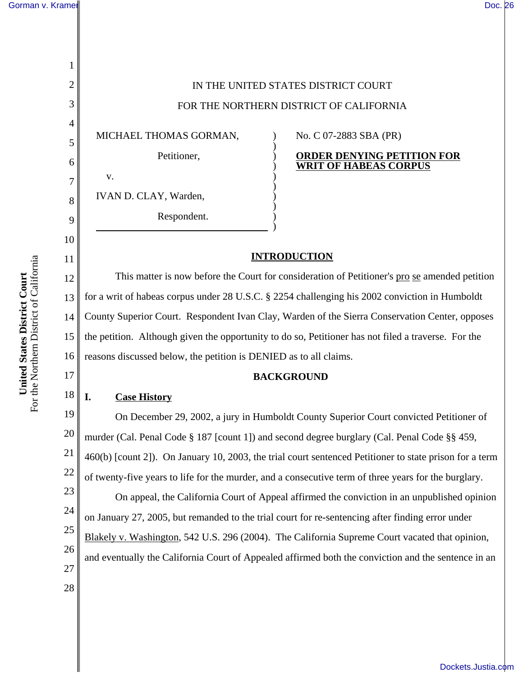1

2

3

4

5

6

7

8

9

10

11

12

13

14

15

16

17

18

28

IN THE UNITED STATES DISTRICT COURT FOR THE NORTHERN DISTRICT OF CALIFORNIA MICHAEL THOMAS GORMAN, Petitioner, v. IVAN D. CLAY, Warden, Respondent. ) ) ) ) ) ) ) ) )  $\overline{)}$ No. C 07-2883 SBA (PR) **ORDER DENYING PETITION FOR WRIT OF HABEAS CORPUS INTRODUCTION** This matter is now before the Court for consideration of Petitioner's pro se amended petition for a writ of habeas corpus under 28 U.S.C. § 2254 challenging his 2002 conviction in Humboldt County Superior Court. Respondent Ivan Clay, Warden of the Sierra Conservation Center, opposes the petition. Although given the opportunity to do so, Petitioner has not filed a traverse. For the reasons discussed below, the petition is DENIED as to all claims.

#### **BACKGROUND**

### **I. Case History**

19 20 21 22 23 24 25 26 27 On December 29, 2002, a jury in Humboldt County Superior Court convicted Petitioner of murder (Cal. Penal Code § 187 [count 1]) and second degree burglary (Cal. Penal Code §§ 459, 460(b) [count 2]). On January 10, 2003, the trial court sentenced Petitioner to state prison for a term of twenty-five years to life for the murder, and a consecutive term of three years for the burglary. On appeal, the California Court of Appeal affirmed the conviction in an unpublished opinion on January 27, 2005, but remanded to the trial court for re-sentencing after finding error under Blakely v. Washington, 542 U.S. 296 (2004). The California Supreme Court vacated that opinion, and eventually the California Court of Appealed affirmed both the conviction and the sentence in an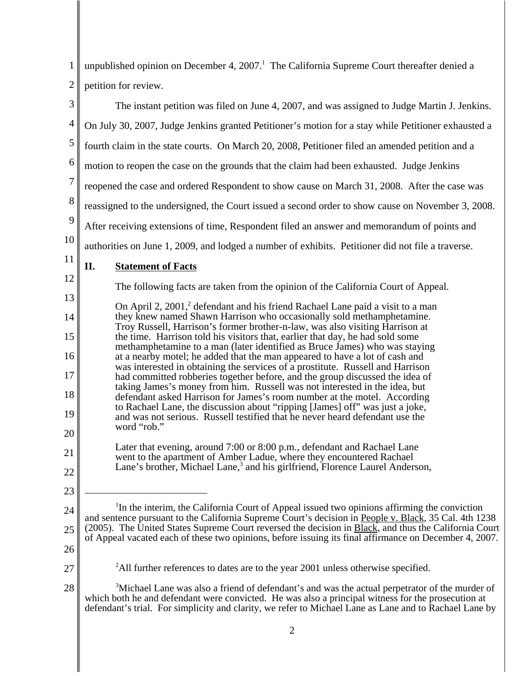| $\mathbf{1}$   | unpublished opinion on December 4, $20071$ . The California Supreme Court thereafter denied a                                                                                                                                                                                                                              |  |  |  |  |
|----------------|----------------------------------------------------------------------------------------------------------------------------------------------------------------------------------------------------------------------------------------------------------------------------------------------------------------------------|--|--|--|--|
| $\overline{2}$ | petition for review.                                                                                                                                                                                                                                                                                                       |  |  |  |  |
| 3              | The instant petition was filed on June 4, 2007, and was assigned to Judge Martin J. Jenkins.                                                                                                                                                                                                                               |  |  |  |  |
| $\overline{4}$ | On July 30, 2007, Judge Jenkins granted Petitioner's motion for a stay while Petitioner exhausted a                                                                                                                                                                                                                        |  |  |  |  |
| $\mathfrak{S}$ | fourth claim in the state courts. On March 20, 2008, Petitioner filed an amended petition and a                                                                                                                                                                                                                            |  |  |  |  |
| 6              | motion to reopen the case on the grounds that the claim had been exhausted. Judge Jenkins                                                                                                                                                                                                                                  |  |  |  |  |
| $\overline{7}$ | reopened the case and ordered Respondent to show cause on March 31, 2008. After the case was                                                                                                                                                                                                                               |  |  |  |  |
| 8              | reassigned to the undersigned, the Court issued a second order to show cause on November 3, 2008.                                                                                                                                                                                                                          |  |  |  |  |
| 9              | After receiving extensions of time, Respondent filed an answer and memorandum of points and                                                                                                                                                                                                                                |  |  |  |  |
| 10             | authorities on June 1, 2009, and lodged a number of exhibits. Petitioner did not file a traverse.                                                                                                                                                                                                                          |  |  |  |  |
| 11             | П.<br><b>Statement of Facts</b>                                                                                                                                                                                                                                                                                            |  |  |  |  |
| 12             | The following facts are taken from the opinion of the California Court of Appeal.                                                                                                                                                                                                                                          |  |  |  |  |
| 13             | On April 2, 2001, <sup>2</sup> defendant and his friend Rachael Lane paid a visit to a man                                                                                                                                                                                                                                 |  |  |  |  |
| 14             | they knew named Shawn Harrison who occasionally sold methamphetamine.<br>Troy Russell, Harrison's former brother-n-law, was also visiting Harrison at                                                                                                                                                                      |  |  |  |  |
| 15             | the time. Harrison told his visitors that, earlier that day, he had sold some<br>methamphetamine to a man (later identified as Bruce James) who was staying                                                                                                                                                                |  |  |  |  |
| 16             | at a nearby motel; he added that the man appeared to have a lot of cash and<br>was interested in obtaining the services of a prostitute. Russell and Harrison                                                                                                                                                              |  |  |  |  |
| 17             | had committed robberies together before, and the group discussed the idea of<br>taking James's money from him. Russell was not interested in the idea, but                                                                                                                                                                 |  |  |  |  |
| 18             | defendant asked Harrison for James's room number at the motel. According<br>to Rachael Lane, the discussion about "ripping [James] off" was just a joke,                                                                                                                                                                   |  |  |  |  |
| 19             | and was not serious. Russell testified that he never heard defendant use the<br>word "rob."                                                                                                                                                                                                                                |  |  |  |  |
| 20             |                                                                                                                                                                                                                                                                                                                            |  |  |  |  |
| 21             | Later that evening, around 7:00 or 8:00 p.m., defendant and Rachael Lane<br>went to the apartment of Amber Ladue, where they encountered Rachael                                                                                                                                                                           |  |  |  |  |
| 22             | Lane's brother, Michael Lane, <sup>3</sup> and his girlfriend, Florence Laurel Anderson,                                                                                                                                                                                                                                   |  |  |  |  |
| 23             |                                                                                                                                                                                                                                                                                                                            |  |  |  |  |
| 24             | <sup>1</sup> In the interim, the California Court of Appeal issued two opinions affirming the conviction<br>and sentence pursuant to the California Supreme Court's decision in People v. Black, 35 Cal. 4th 1238                                                                                                          |  |  |  |  |
| 25             | (2005). The United States Supreme Court reversed the decision in Black, and thus the California Court<br>of Appeal vacated each of these two opinions, before issuing its final affirmance on December 4, 2007.                                                                                                            |  |  |  |  |
| 26             |                                                                                                                                                                                                                                                                                                                            |  |  |  |  |
| 27             | <sup>2</sup> All further references to dates are to the year 2001 unless otherwise specified.                                                                                                                                                                                                                              |  |  |  |  |
| 28             | <sup>3</sup> Michael Lane was also a friend of defendant's and was the actual perpetrator of the murder of<br>which both he and defendant were convicted. He was also a principal witness for the prosecution at<br>defendant's trial. For simplicity and clarity, we refer to Michael Lane as Lane and to Rachael Lane by |  |  |  |  |
|                | 2                                                                                                                                                                                                                                                                                                                          |  |  |  |  |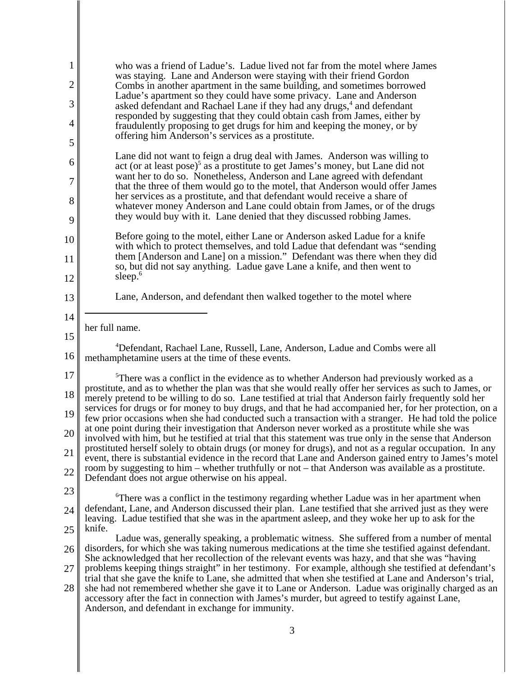| $\mathbf{1}$ | who was a friend of Ladue's. Ladue lived not far from the motel where James<br>was staying. Lane and Anderson were staying with their friend Gordon                                                                   |  |  |  |  |  |
|--------------|-----------------------------------------------------------------------------------------------------------------------------------------------------------------------------------------------------------------------|--|--|--|--|--|
| 2            | Combs in another apartment in the same building, and sometimes borrowed<br>Ladue's apartment so they could have some privacy. Lane and Anderson                                                                       |  |  |  |  |  |
| 3            | asked defendant and Rachael Lane if they had any drugs, <sup>4</sup> and defendant<br>responded by suggesting that they could obtain cash from James, either by                                                       |  |  |  |  |  |
| 4            | fraudulently proposing to get drugs for him and keeping the money, or by<br>offering him Anderson's services as a prostitute.                                                                                         |  |  |  |  |  |
| 5            | Lane did not want to feign a drug deal with James. Anderson was willing to                                                                                                                                            |  |  |  |  |  |
| 6            | act (or at least pose) <sup>5</sup> as a prostitute to get James's money, but Lane did not<br>want her to do so. Nonetheless, Anderson and Lane agreed with defendant                                                 |  |  |  |  |  |
| 7            | that the three of them would go to the motel, that Anderson would offer James<br>her services as a prostitute, and that defendant would receive a share of                                                            |  |  |  |  |  |
| 8            | whatever money Anderson and Lane could obtain from James, or of the drugs<br>they would buy with it. Lane denied that they discussed robbing James.                                                                   |  |  |  |  |  |
| 9            | Before going to the motel, either Lane or Anderson asked Ladue for a knife                                                                                                                                            |  |  |  |  |  |
| 10           | with which to protect themselves, and told Ladue that defendant was "sending<br>them [Anderson and Lane] on a mission." Defendant was there when they did                                                             |  |  |  |  |  |
| 11<br>12     | so, but did not say anything. Ladue gave Lane a knife, and then went to<br>sleep. $6$                                                                                                                                 |  |  |  |  |  |
| 13           | Lane, Anderson, and defendant then walked together to the motel where                                                                                                                                                 |  |  |  |  |  |
| 14           |                                                                                                                                                                                                                       |  |  |  |  |  |
| 15           | her full name.                                                                                                                                                                                                        |  |  |  |  |  |
| 16           | <sup>4</sup> Defendant, Rachael Lane, Russell, Lane, Anderson, Ladue and Combs were all<br>methamphetamine users at the time of these events.                                                                         |  |  |  |  |  |
| 17           | <sup>5</sup> There was a conflict in the evidence as to whether Anderson had previously worked as a<br>prostitute, and as to whether the plan was that she would really offer her services as such to James, or       |  |  |  |  |  |
| 18           | merely pretend to be willing to do so. Lane testified at trial that Anderson fairly frequently sold her<br>services for drugs or for money to buy drugs, and that he had accompanied her, for her protection, on a    |  |  |  |  |  |
| 19           | few prior occasions when she had conducted such a transaction with a stranger. He had told the police<br>at one point during their investigation that Anderson never worked as a prostitute while she was             |  |  |  |  |  |
| 20           | involved with him, but he testified at trial that this statement was true only in the sense that Anderson<br>prostituted herself solely to obtain drugs (or money for drugs), and not as a regular occupation. In any |  |  |  |  |  |
| 21           | event, there is substantial evidence in the record that Lane and Anderson gained entry to James's motel<br>room by suggesting to him – whether truthfully or not – that Anderson was available as a prostitute.       |  |  |  |  |  |
| 22<br>23     | Defendant does not argue otherwise on his appeal.                                                                                                                                                                     |  |  |  |  |  |
| 24           | <sup>6</sup> There was a conflict in the testimony regarding whether Ladue was in her apartment when<br>defendant, Lane, and Anderson discussed their plan. Lane testified that she arrived just as they were         |  |  |  |  |  |
| 25           | leaving. Ladue testified that she was in the apartment asleep, and they woke her up to ask for the<br>knife.                                                                                                          |  |  |  |  |  |
| 26           | Ladue was, generally speaking, a problematic witness. She suffered from a number of mental<br>disorders, for which she was taking numerous medications at the time she testified against defendant.                   |  |  |  |  |  |
| 27           | She acknowledged that her recollection of the relevant events was hazy, and that she was "having"<br>problems keeping things straight" in her testimony. For example, although she testified at defendant's           |  |  |  |  |  |
| 28           | trial that she gave the knife to Lane, she admitted that when she testified at Lane and Anderson's trial,<br>she had not remembered whether she gave it to Lane or Anderson. Ladue was originally charged as an       |  |  |  |  |  |
|              | accessory after the fact in connection with James's murder, but agreed to testify against Lane,<br>Anderson, and defendant in exchange for immunity.                                                                  |  |  |  |  |  |
|              | 3                                                                                                                                                                                                                     |  |  |  |  |  |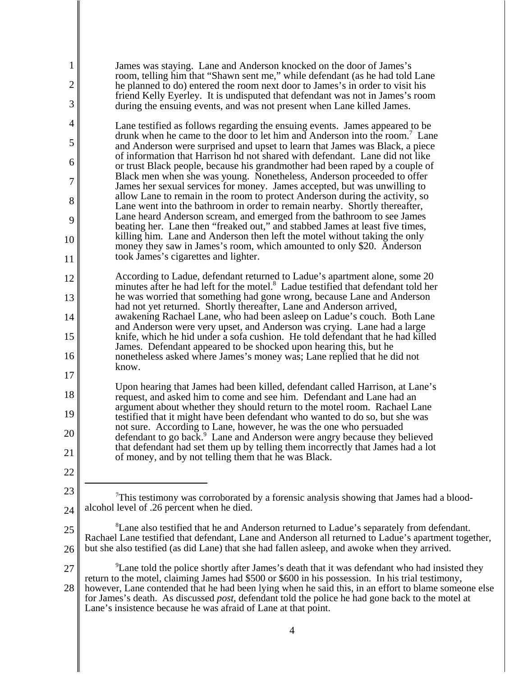| 1<br>2<br>3 | James was staying. Lane and Anderson knocked on the door of James's<br>room, telling him that "Shawn sent me," while defendant (as he had told Lane<br>he planned to do) entered the room next door to James's in order to visit his<br>friend Kelly Eyerley. It is undisputed that defendant was not in James's room<br>during the ensuing events, and was not present when Lane killed James.                                                                                                      |
|-------------|------------------------------------------------------------------------------------------------------------------------------------------------------------------------------------------------------------------------------------------------------------------------------------------------------------------------------------------------------------------------------------------------------------------------------------------------------------------------------------------------------|
| 4           | Lane testified as follows regarding the ensuing events. James appeared to be                                                                                                                                                                                                                                                                                                                                                                                                                         |
| 5           | drunk when he came to the door to let him and Anderson into the room. <sup>7</sup> Lane<br>and Anderson were surprised and upset to learn that James was Black, a piece                                                                                                                                                                                                                                                                                                                              |
| 6           | of information that Harrison hd not shared with defendant. Lane did not like<br>or trust Black people, because his grandmother had been raped by a couple of                                                                                                                                                                                                                                                                                                                                         |
| 7           | Black men when she was young. Nonetheless, Anderson proceeded to offer<br>James her sexual services for money. James accepted, but was unwilling to                                                                                                                                                                                                                                                                                                                                                  |
| 8           | allow Lane to remain in the room to protect Anderson during the activity, so<br>Lane went into the bathroom in order to remain nearby. Shortly thereafter,                                                                                                                                                                                                                                                                                                                                           |
| 9           | Lane heard Anderson scream, and emerged from the bathroom to see James<br>beating her. Lane then "freaked out," and stabbed James at least five times,                                                                                                                                                                                                                                                                                                                                               |
| 10          | killing him. Lane and Anderson then left the motel without taking the only                                                                                                                                                                                                                                                                                                                                                                                                                           |
| 11          | money they saw in James's room, which amounted to only \$20. Anderson<br>took James's cigarettes and lighter.                                                                                                                                                                                                                                                                                                                                                                                        |
| 12          | According to Ladue, defendant returned to Ladue's apartment alone, some 20                                                                                                                                                                                                                                                                                                                                                                                                                           |
| 13          | minutes after he had left for the motel. <sup>8</sup> Ladue testified that defendant told her<br>he was worried that something had gone wrong, because Lane and Anderson                                                                                                                                                                                                                                                                                                                             |
| 14          | had not yet returned. Shortly thereafter, Lane and Anderson arrived,<br>awakening Rachael Lane, who had been asleep on Ladue's couch. Both Lane                                                                                                                                                                                                                                                                                                                                                      |
| 15          | and Anderson were very upset, and Anderson was crying. Lane had a large<br>knife, which he hid under a sofa cushion. He told defendant that he had killed                                                                                                                                                                                                                                                                                                                                            |
| 16          | James. Defendant appeared to be shocked upon hearing this, but he<br>nonetheless asked where James's money was; Lane replied that he did not                                                                                                                                                                                                                                                                                                                                                         |
| 17          | know.                                                                                                                                                                                                                                                                                                                                                                                                                                                                                                |
| 18          | Upon hearing that James had been killed, defendant called Harrison, at Lane's                                                                                                                                                                                                                                                                                                                                                                                                                        |
| 19          | request, and asked him to come and see him. Defendant and Lane had an<br>argument about whether they should return to the motel room. Rachael Lane                                                                                                                                                                                                                                                                                                                                                   |
|             | testified that it might have been defendant who wanted to do so, but she was<br>not sure. According to Lane, however, he was the one who persuaded                                                                                                                                                                                                                                                                                                                                                   |
| 20          | defendant to go back. <sup>9</sup> Lane and Anderson were angry because they believed<br>that defendant had set them up by telling them incorrectly that James had a lot                                                                                                                                                                                                                                                                                                                             |
| 21          | of money, and by not telling them that he was Black.                                                                                                                                                                                                                                                                                                                                                                                                                                                 |
| 22          |                                                                                                                                                                                                                                                                                                                                                                                                                                                                                                      |
| 23          | This testimony was corroborated by a forensic analysis showing that James had a blood-                                                                                                                                                                                                                                                                                                                                                                                                               |
| 24          | alcohol level of .26 percent when he died.                                                                                                                                                                                                                                                                                                                                                                                                                                                           |
| 25          | <sup>8</sup> Lane also testified that he and Anderson returned to Ladue's separately from defendant.<br>Rachael Lane testified that defendant, Lane and Anderson all returned to Ladue's apartment together,                                                                                                                                                                                                                                                                                         |
| 26          | but she also testified (as did Lane) that she had fallen asleep, and awoke when they arrived.                                                                                                                                                                                                                                                                                                                                                                                                        |
| 27<br>28    | <sup>9</sup> Lane told the police shortly after James's death that it was defendant who had insisted they<br>return to the motel, claiming James had \$500 or \$600 in his possession. In his trial testimony,<br>however, Lane contended that he had been lying when he said this, in an effort to blame someone else<br>for James's death. As discussed <i>post</i> , defendant told the police he had gone back to the motel at<br>Lane's insistence because he was afraid of Lane at that point. |
|             |                                                                                                                                                                                                                                                                                                                                                                                                                                                                                                      |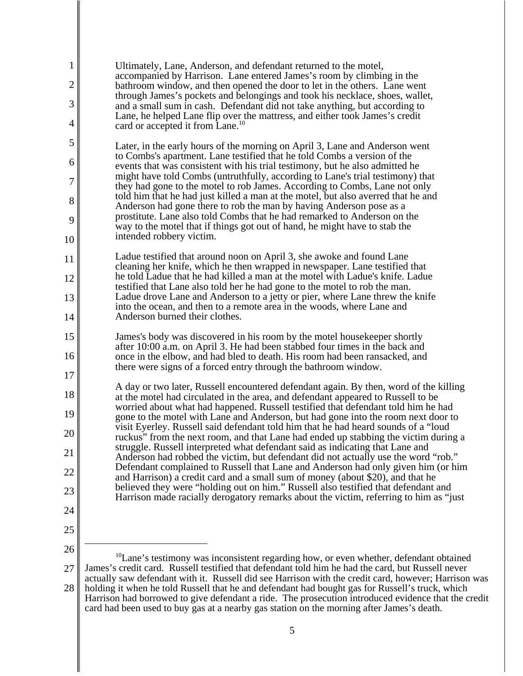| $\mathbf{1}$ | Ultimately, Lane, Anderson, and defendant returned to the motel,<br>accompanied by Harrison. Lane entered James's room by climbing in the                                    |
|--------------|------------------------------------------------------------------------------------------------------------------------------------------------------------------------------|
| 2            | bathroom window, and then opened the door to let in the others. Lane went<br>through James's pockets and belongings and took his necklace, shoes, wallet,                    |
| 3            | and a small sum in cash. Defendant did not take anything, but according to<br>Lane, he helped Lane flip over the mattress, and either took James's credit                    |
| 4            | card or accepted it from Lane. <sup>10</sup>                                                                                                                                 |
| 5            | Later, in the early hours of the morning on April 3, Lane and Anderson went                                                                                                  |
| 6            | to Comba's apartment. Lane testified that he told Comba a version of the<br>events that was consistent with his trial testimony, but he also admitted he                     |
| 7            | might have told Combs (untruthfully, according to Lane's trial testimony) that<br>they had gone to the motel to rob James. According to Combs, Lane not only                 |
| 8            | told him that he had just killed a man at the motel, but also averred that he and<br>Anderson had gone there to rob the man by having Anderson pose as a                     |
| 9            | prostitute. Lane also told Combs that he had remarked to Anderson on the<br>way to the motel that if things got out of hand, he might have to stab the                       |
| 10           | intended robbery victim.                                                                                                                                                     |
| 11           | Ladue testified that around noon on April 3, she awoke and found Lane<br>cleaning her knife, which he then wrapped in newspaper. Lane testified that                         |
| 12           | he told Ladue that he had killed a man at the motel with Ladue's knife. Ladue<br>testified that Lane also told her he had gone to the motel to rob the man.                  |
| 13           | Ladue drove Lane and Anderson to a jetty or pier, where Lane threw the knife                                                                                                 |
| 14           | into the ocean, and then to a remote area in the woods, where Lane and<br>Anderson burned their clothes.                                                                     |
| 15           | James's body was discovered in his room by the motel house keeper shortly                                                                                                    |
| 16           | after 10:00 a.m. on April 3. He had been stabbed four times in the back and<br>once in the elbow, and had bled to death. His room had been ransacked, and                    |
| 17           | there were signs of a forced entry through the bathroom window.                                                                                                              |
| 18           | A day or two later, Russell encountered defendant again. By then, word of the killing<br>at the motel had circulated in the area, and defendant appeared to Russell to be    |
| 19           | worried about what had happened. Russell testified that defendant told him he had<br>gone to the motel with Lane and Anderson, but had gone into the room next door to       |
| 20           | visit Eyerley. Russell said defendant told him that he had heard sounds of a "loud<br>ruckus" from the next room, and that Lane had ended up stabbing the victim during a    |
| 21           | struggle. Russell interpreted what defendant said as indicating that Lane and<br>Anderson had robbed the victim, but defendant did not actually use the word "rob."          |
| 22           | Defendant complained to Russell that Lane and Anderson had only given him (or him<br>and Harrison) a credit card and a small sum of money (about \$20), and that he          |
| 23           | believed they were "holding out on him." Russell also testified that defendant and<br>Harrison made racially derogatory remarks about the victim, referring to him as "just" |
| 24           |                                                                                                                                                                              |
| 25           |                                                                                                                                                                              |
| 26           | $^{10}$ Lane's testimony was inconsistent regarding how, or even whether, defendant obtained                                                                                 |
| 27           | James's credit card. Russell testified that defendant told him he had the card, but Russell never                                                                            |

28 actually saw defendant with it. Russell did see Harrison with the credit card, however; Harrison was holding it when he told Russell that he and defendant had bought gas for Russell's truck, which Harrison had borrowed to give defendant a ride. The prosecution introduced evidence that the credit card had been used to buy gas at a nearby gas station on the morning after James's death.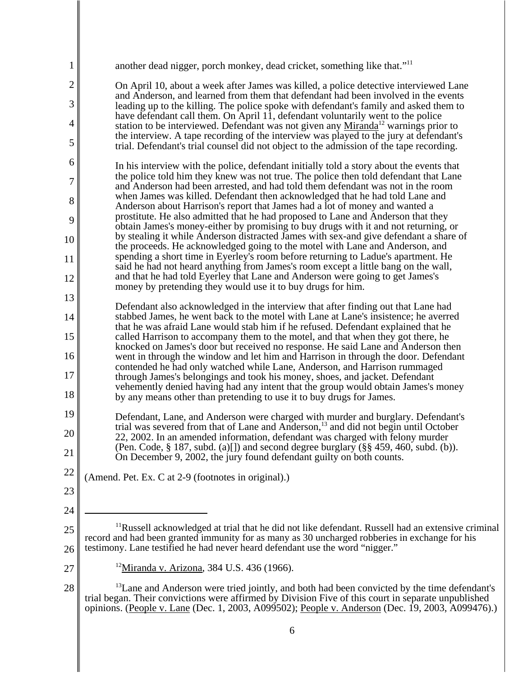| 1              | another dead nigger, porch monkey, dead cricket, something like that." <sup>11</sup>                                                                                                                                                                                                                               |
|----------------|--------------------------------------------------------------------------------------------------------------------------------------------------------------------------------------------------------------------------------------------------------------------------------------------------------------------|
| $\overline{c}$ | On April 10, about a week after James was killed, a police detective interviewed Lane                                                                                                                                                                                                                              |
| 3              | and Anderson, and learned from them that defendant had been involved in the events<br>leading up to the killing. The police spoke with defendant's family and asked them to                                                                                                                                        |
| 4              | have defendant call them. On April 11, defendant voluntarily went to the police<br>station to be interviewed. Defendant was not given any Miranda <sup>12</sup> warnings prior to                                                                                                                                  |
| 5              | the interview. A tape recording of the interview was played to the jury at defendant's<br>trial. Defendant's trial counsel did not object to the admission of the tape recording.                                                                                                                                  |
| 6              | In his interview with the police, defendant initially told a story about the events that                                                                                                                                                                                                                           |
| 7              | the police told him they knew was not true. The police then told defendant that Lane<br>and Anderson had been arrested, and had told them defendant was not in the room                                                                                                                                            |
| 8              | when James was killed. Defendant then acknowledged that he had told Lane and<br>Anderson about Harrison's report that James had a lot of money and wanted a                                                                                                                                                        |
| 9              | prostitute. He also admitted that he had proposed to Lane and Anderson that they<br>obtain James's money-either by promising to buy drugs with it and not returning, or                                                                                                                                            |
| 10             | by stealing it while Anderson distracted James with sex-and give defendant a share of<br>the proceeds. He acknowledged going to the motel with Lane and Anderson, and                                                                                                                                              |
| 11             | spending a short time in Eyerley's room before returning to Ladue's apartment. He<br>said he had not heard anything from James's room except a little bang on the wall,                                                                                                                                            |
| 12             | and that he had told Eyerley that Lane and Anderson were going to get James's<br>money by pretending they would use it to buy drugs for him.                                                                                                                                                                       |
| 13             | Defendant also acknowledged in the interview that after finding out that Lane had                                                                                                                                                                                                                                  |
| 14             | stabbed James, he went back to the motel with Lane at Lane's insistence; he averred                                                                                                                                                                                                                                |
| 15             | that he was afraid Lane would stab him if he refused. Defendant explained that he<br>called Harrison to accompany them to the motel, and that when they got there, he                                                                                                                                              |
| 16             | knocked on James's door but received no response. He said Lane and Anderson then<br>went in through the window and let him and Harrison in through the door. Defendant                                                                                                                                             |
| 17             | contended he had only watched while Lane, Anderson, and Harrison rummaged<br>through James's belongings and took his money, shoes, and jacket. Defendant                                                                                                                                                           |
| 18             | vehemently denied having had any intent that the group would obtain James's money<br>by any means other than pretending to use it to buy drugs for James.                                                                                                                                                          |
| 19             | Defendant, Lane, and Anderson were charged with murder and burglary. Defendant's                                                                                                                                                                                                                                   |
| 20             | trial was severed from that of Lane and Anderson, <sup>13</sup> and did not begin until October<br>22, 2002. In an amended information, defendant was charged with felony murder                                                                                                                                   |
| 21             | (Pen. Code, $\S$ 187, subd. (a)[]) and second degree burglary ( $\S$ $\S$ 459, 460, subd. (b)).<br>On December 9, 2002, the jury found defendant guilty on both counts.                                                                                                                                            |
| 22             | (Amend. Pet. Ex. C at 2-9 (footnotes in original).)                                                                                                                                                                                                                                                                |
| 23             |                                                                                                                                                                                                                                                                                                                    |
| 24             |                                                                                                                                                                                                                                                                                                                    |
| 25             | <sup>11</sup> Russell acknowledged at trial that he did not like defendant. Russell had an extensive criminal<br>record and had been granted immunity for as many as 30 uncharged robberies in exchange for his                                                                                                    |
| 26             | testimony. Lane testified he had never heard defendant use the word "nigger."                                                                                                                                                                                                                                      |
| 27             | <sup>12</sup> Miranda v. Arizona, 384 U.S. 436 (1966).                                                                                                                                                                                                                                                             |
| 28             | <sup>13</sup> Lane and Anderson were tried jointly, and both had been convicted by the time defendant's<br>trial began. Their convictions were affirmed by Division Five of this court in separate unpublished<br>opinions. (People v. Lane (Dec. 1, 2003, A099502); People v. Anderson (Dec. 19, 2003, A099476).) |
|                | 6                                                                                                                                                                                                                                                                                                                  |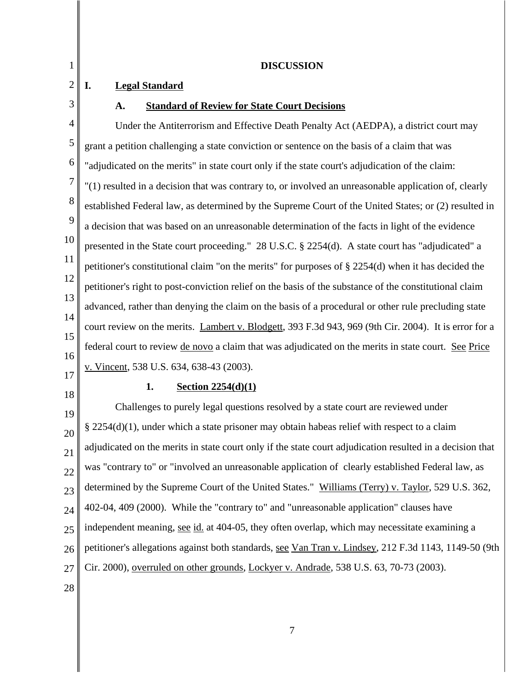| 1              | <b>DISCUSSION</b>                                                                                           |
|----------------|-------------------------------------------------------------------------------------------------------------|
| $\overline{2}$ | I.<br><b>Legal Standard</b>                                                                                 |
| 3              | <b>Standard of Review for State Court Decisions</b><br>A.                                                   |
| 4              | Under the Antiterrorism and Effective Death Penalty Act (AEDPA), a district court may                       |
| 5              | grant a petition challenging a state conviction or sentence on the basis of a claim that was                |
| 6              | "adjudicated on the merits" in state court only if the state court's adjudication of the claim:             |
| 7              | "(1) resulted in a decision that was contrary to, or involved an unreasonable application of, clearly       |
| 8              | established Federal law, as determined by the Supreme Court of the United States; or (2) resulted in        |
| 9              | a decision that was based on an unreasonable determination of the facts in light of the evidence            |
| 10             | presented in the State court proceeding." 28 U.S.C. § 2254(d). A state court has "adjudicated" a            |
| 11             | petitioner's constitutional claim "on the merits" for purposes of § 2254(d) when it has decided the         |
| 12             | petitioner's right to post-conviction relief on the basis of the substance of the constitutional claim      |
| 13             | advanced, rather than denying the claim on the basis of a procedural or other rule precluding state         |
| 14<br>15       | court review on the merits. Lambert v. Blodgett, 393 F.3d 943, 969 (9th Cir. 2004). It is error for a       |
| 16             | federal court to review <u>de novo</u> a claim that was adjudicated on the merits in state court. See Price |
| 17             | v. Vincent, 538 U.S. 634, 638-43 (2003).                                                                    |
| 18             | 1.<br>Section $2254(d)(1)$                                                                                  |
| 19             | Challenges to purely legal questions resolved by a state court are reviewed under                           |
| 20             | § 2254(d)(1), under which a state prisoner may obtain habeas relief with respect to a claim                 |
| 21             | adjudicated on the merits in state court only if the state court adjudication resulted in a decision that   |
| 22             | was "contrary to" or "involved an unreasonable application of clearly established Federal law, as           |
| 23             | determined by the Supreme Court of the United States." Williams (Terry) v. Taylor, 529 U.S. 362,            |
| 24             | 402-04, 409 (2000). While the "contrary to" and "unreasonable application" clauses have                     |
| 25             | independent meaning, see id. at 404-05, they often overlap, which may necessitate examining a               |
| 26             | petitioner's allegations against both standards, see Van Tran v. Lindsey, 212 F.3d 1143, 1149-50 (9th       |

- 27 Cir. 2000), overruled on other grounds, Lockyer v. Andrade, 538 U.S. 63, 70-73 (2003).
- 28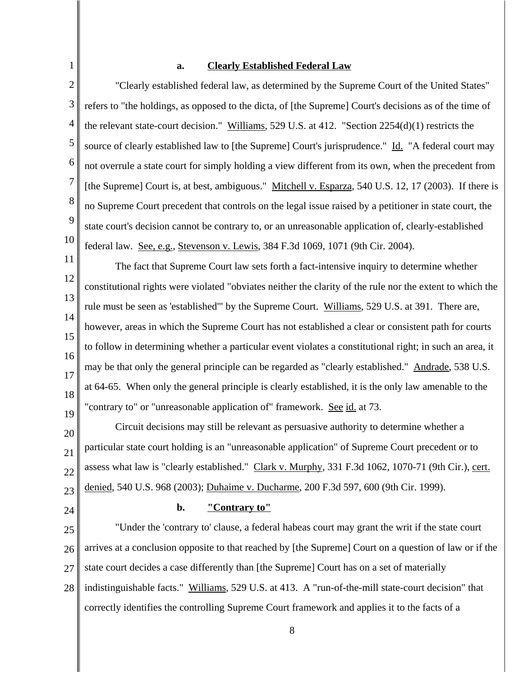#### **a. Clearly Established Federal Law**

"Clearly established federal law, as determined by the Supreme Court of the United States" refers to "the holdings, as opposed to the dicta, of [the Supreme] Court's decisions as of the time of the relevant state-court decision." Williams, 529 U.S. at 412. "Section 2254(d)(1) restricts the source of clearly established law to [the Supreme] Court's jurisprudence." Id. "A federal court may not overrule a state court for simply holding a view different from its own, when the precedent from [the Supreme] Court is, at best, ambiguous." Mitchell v. Esparza, 540 U.S. 12, 17 (2003). If there is no Supreme Court precedent that controls on the legal issue raised by a petitioner in state court, the state court's decision cannot be contrary to, or an unreasonable application of, clearly-established federal law. See, e.g., Stevenson v. Lewis, 384 F.3d 1069, 1071 (9th Cir. 2004).

11 12 13 14 15 16 17 18 19 The fact that Supreme Court law sets forth a fact-intensive inquiry to determine whether constitutional rights were violated "obviates neither the clarity of the rule nor the extent to which the rule must be seen as 'established'" by the Supreme Court. Williams, 529 U.S. at 391. There are, however, areas in which the Supreme Court has not established a clear or consistent path for courts to follow in determining whether a particular event violates a constitutional right; in such an area, it may be that only the general principle can be regarded as "clearly established." Andrade, 538 U.S. at 64-65. When only the general principle is clearly established, it is the only law amenable to the "contrary to" or "unreasonable application of" framework. See id. at 73.

20 21 22 23 Circuit decisions may still be relevant as persuasive authority to determine whether a particular state court holding is an "unreasonable application" of Supreme Court precedent or to assess what law is "clearly established." Clark v. Murphy, 331 F.3d 1062, 1070-71 (9th Cir.), cert. denied, 540 U.S. 968 (2003); Duhaime v. Ducharme, 200 F.3d 597, 600 (9th Cir. 1999).

24

1

2

3

4

5

6

7

8

9

10

#### **b. "Contrary to"**

25 26 27 28 "Under the 'contrary to' clause, a federal habeas court may grant the writ if the state court arrives at a conclusion opposite to that reached by [the Supreme] Court on a question of law or if the state court decides a case differently than [the Supreme] Court has on a set of materially indistinguishable facts." Williams, 529 U.S. at 413. A "run-of-the-mill state-court decision" that correctly identifies the controlling Supreme Court framework and applies it to the facts of a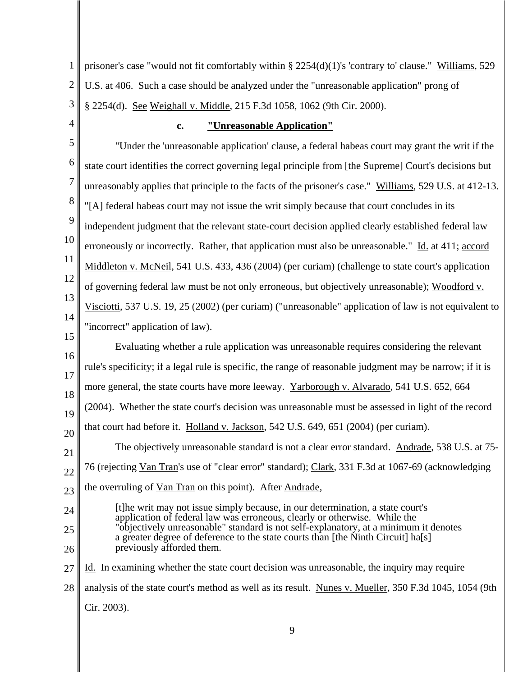1 2 3 prisoner's case "would not fit comfortably within § 2254(d)(1)'s 'contrary to' clause." Williams, 529 U.S. at 406. Such a case should be analyzed under the "unreasonable application" prong of § 2254(d). See Weighall v. Middle, 215 F.3d 1058, 1062 (9th Cir. 2000).

4

## **c. "Unreasonable Application"**

5 6 7 8 9 10 11 12 13 14 15 "Under the 'unreasonable application' clause, a federal habeas court may grant the writ if the state court identifies the correct governing legal principle from [the Supreme] Court's decisions but unreasonably applies that principle to the facts of the prisoner's case." Williams, 529 U.S. at 412-13. "[A] federal habeas court may not issue the writ simply because that court concludes in its independent judgment that the relevant state-court decision applied clearly established federal law erroneously or incorrectly. Rather, that application must also be unreasonable." Id. at 411; accord Middleton v. McNeil, 541 U.S. 433, 436 (2004) (per curiam) (challenge to state court's application of governing federal law must be not only erroneous, but objectively unreasonable); Woodford v. Visciotti, 537 U.S. 19, 25 (2002) (per curiam) ("unreasonable" application of law is not equivalent to "incorrect" application of law).

16 17 18 19 20 Evaluating whether a rule application was unreasonable requires considering the relevant rule's specificity; if a legal rule is specific, the range of reasonable judgment may be narrow; if it is more general, the state courts have more leeway. Yarborough v. Alvarado, 541 U.S. 652, 664 (2004). Whether the state court's decision was unreasonable must be assessed in light of the record that court had before it. Holland v. Jackson, 542 U.S. 649, 651 (2004) (per curiam). The objectively unreasonable standard is not a clear error standard. Andrade, 538 U.S. at 75-

21 22 23 76 (rejecting Van Tran's use of "clear error" standard); Clark, 331 F.3d at 1067-69 (acknowledging the overruling of <u>Van Tran</u> on this point). After Andrade,

- [t]he writ may not issue simply because, in our determination, a state court's application of federal law was erroneous, clearly or otherwise. While the "objectively unreasonable" standard is not self-explanatory, at a minimum it denotes a greater degree of deference to the state courts than [the Ninth Circuit] ha[s] previously afforded them.
- 25 26

27

24

Id. In examining whether the state court decision was unreasonable, the inquiry may require

- 28 analysis of the state court's method as well as its result. Nunes v. Mueller, 350 F.3d 1045, 1054 (9th
	- Cir. 2003).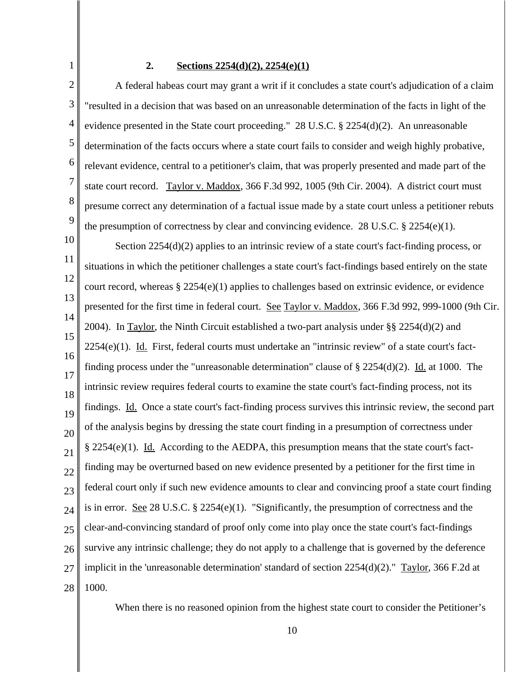### **2. Sections 2254(d)(2), 2254(e)(1)**

1

2 3 4 5 6 7 8 9 A federal habeas court may grant a writ if it concludes a state court's adjudication of a claim "resulted in a decision that was based on an unreasonable determination of the facts in light of the evidence presented in the State court proceeding." 28 U.S.C. § 2254(d)(2). An unreasonable determination of the facts occurs where a state court fails to consider and weigh highly probative, relevant evidence, central to a petitioner's claim, that was properly presented and made part of the state court record. Taylor v. Maddox, 366 F.3d 992, 1005 (9th Cir. 2004). A district court must presume correct any determination of a factual issue made by a state court unless a petitioner rebuts the presumption of correctness by clear and convincing evidence. 28 U.S.C.  $\S$  2254(e)(1).

10 11 12 13 14 15 16 17 18 19 20 21 22 23 24 25 26 27 28 Section 2254(d)(2) applies to an intrinsic review of a state court's fact-finding process, or situations in which the petitioner challenges a state court's fact-findings based entirely on the state court record, whereas § 2254 $(e)(1)$  applies to challenges based on extrinsic evidence, or evidence presented for the first time in federal court. See Taylor v. Maddox, 366 F.3d 992, 999-1000 (9th Cir. 2004). In Taylor, the Ninth Circuit established a two-part analysis under §§ 2254(d)(2) and  $2254(e)(1)$ . Id. First, federal courts must undertake an "intrinsic review" of a state court's factfinding process under the "unreasonable determination" clause of  $\S 2254(d)(2)$ . Id. at 1000. The intrinsic review requires federal courts to examine the state court's fact-finding process, not its findings. Id. Once a state court's fact-finding process survives this intrinsic review, the second part of the analysis begins by dressing the state court finding in a presumption of correctness under  $\S 2254(e)(1)$ . Id. According to the AEDPA, this presumption means that the state court's factfinding may be overturned based on new evidence presented by a petitioner for the first time in federal court only if such new evidence amounts to clear and convincing proof a state court finding is in error. See 28 U.S.C. § 2254 $(e)(1)$ . "Significantly, the presumption of correctness and the clear-and-convincing standard of proof only come into play once the state court's fact-findings survive any intrinsic challenge; they do not apply to a challenge that is governed by the deference implicit in the 'unreasonable determination' standard of section 2254(d)(2)." Taylor, 366 F.2d at 1000.

When there is no reasoned opinion from the highest state court to consider the Petitioner's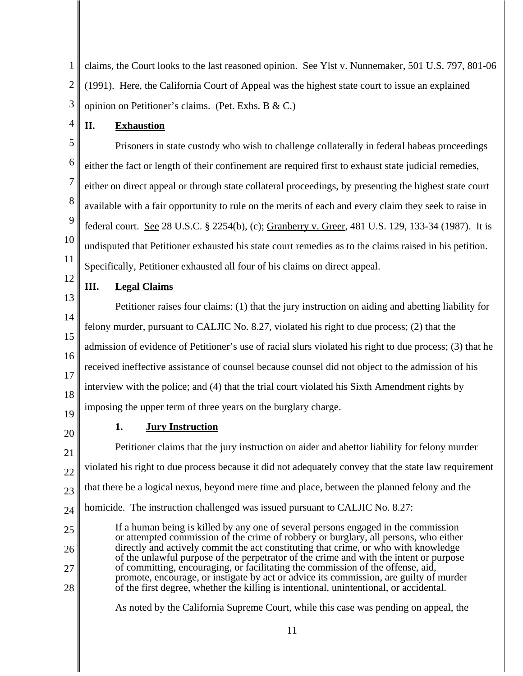1 2 3 claims, the Court looks to the last reasoned opinion. See Ylst v. Nunnemaker, 501 U.S. 797, 801-06 (1991). Here, the California Court of Appeal was the highest state court to issue an explained opinion on Petitioner's claims. (Pet. Exhs. B & C.)

**II. Exhaustion**

5 6 7 8 9 10 11 Prisoners in state custody who wish to challenge collaterally in federal habeas proceedings either the fact or length of their confinement are required first to exhaust state judicial remedies, either on direct appeal or through state collateral proceedings, by presenting the highest state court available with a fair opportunity to rule on the merits of each and every claim they seek to raise in federal court. See 28 U.S.C. § 2254(b), (c); Granberry v. Greer, 481 U.S. 129, 133-34 (1987). It is undisputed that Petitioner exhausted his state court remedies as to the claims raised in his petition. Specifically, Petitioner exhausted all four of his claims on direct appeal.

12

4

# **III. Legal Claims**

13 14 15 16 17 18 19 Petitioner raises four claims: (1) that the jury instruction on aiding and abetting liability for felony murder, pursuant to CALJIC No. 8.27, violated his right to due process; (2) that the admission of evidence of Petitioner's use of racial slurs violated his right to due process; (3) that he received ineffective assistance of counsel because counsel did not object to the admission of his interview with the police; and (4) that the trial court violated his Sixth Amendment rights by imposing the upper term of three years on the burglary charge.

20

28

## **1. Jury Instruction**

21 22 23 24 25 26 27 Petitioner claims that the jury instruction on aider and abettor liability for felony murder violated his right to due process because it did not adequately convey that the state law requirement that there be a logical nexus, beyond mere time and place, between the planned felony and the homicide. The instruction challenged was issued pursuant to CALJIC No. 8.27: If a human being is killed by any one of several persons engaged in the commission or attempted commission of the crime of robbery or burglary, all persons, who either directly and actively commit the act constituting that crime, or who with knowledge of the unlawful purpose of the perpetrator of the crime and with the intent or purpose of committing, encouraging, or facilitating the commission of the offense, aid, promote, encourage, or instigate by act or advice its commission, are guilty of murder

As noted by the California Supreme Court, while this case was pending on appeal, the

of the first degree, whether the killing is intentional, unintentional, or accidental.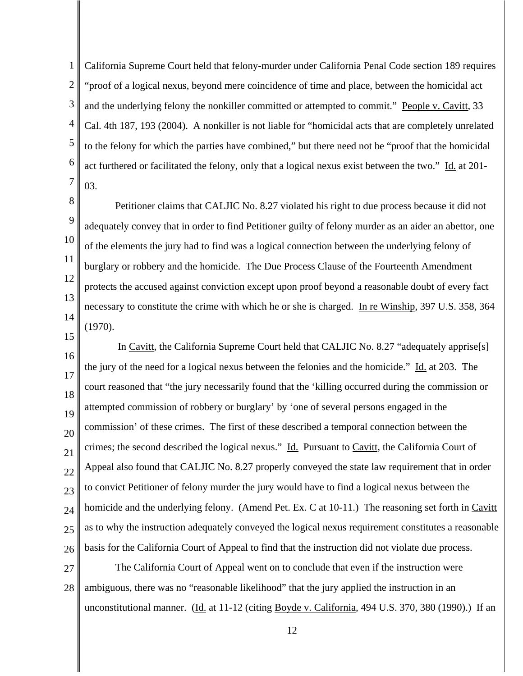1 2 3 4 5 6 7 California Supreme Court held that felony-murder under California Penal Code section 189 requires "proof of a logical nexus, beyond mere coincidence of time and place, between the homicidal act and the underlying felony the nonkiller committed or attempted to commit." People v. Cavitt, 33 Cal. 4th 187, 193 (2004). A nonkiller is not liable for "homicidal acts that are completely unrelated to the felony for which the parties have combined," but there need not be "proof that the homicidal act furthered or facilitated the felony, only that a logical nexus exist between the two." Id. at 201- 03.

8 9 10

11 12 13 14 15 Petitioner claims that CALJIC No. 8.27 violated his right to due process because it did not adequately convey that in order to find Petitioner guilty of felony murder as an aider an abettor, one of the elements the jury had to find was a logical connection between the underlying felony of burglary or robbery and the homicide. The Due Process Clause of the Fourteenth Amendment protects the accused against conviction except upon proof beyond a reasonable doubt of every fact necessary to constitute the crime with which he or she is charged. In re Winship, 397 U.S. 358, 364 (1970).

16 17 18 19 20 21 22 23 24 25 26 In Cavitt, the California Supreme Court held that CALJIC No. 8.27 "adequately apprise[s] the jury of the need for a logical nexus between the felonies and the homicide." Id. at 203. The court reasoned that "the jury necessarily found that the 'killing occurred during the commission or attempted commission of robbery or burglary' by 'one of several persons engaged in the commission' of these crimes. The first of these described a temporal connection between the crimes; the second described the logical nexus." Id. Pursuant to Cavitt, the California Court of Appeal also found that CALJIC No. 8.27 properly conveyed the state law requirement that in order to convict Petitioner of felony murder the jury would have to find a logical nexus between the homicide and the underlying felony. (Amend Pet. Ex. C at 10-11.) The reasoning set forth in Cavitt as to why the instruction adequately conveyed the logical nexus requirement constitutes a reasonable basis for the California Court of Appeal to find that the instruction did not violate due process.

27 28 The California Court of Appeal went on to conclude that even if the instruction were ambiguous, there was no "reasonable likelihood" that the jury applied the instruction in an unconstitutional manner. (Id. at 11-12 (citing Boyde v. California, 494 U.S. 370, 380 (1990).) If an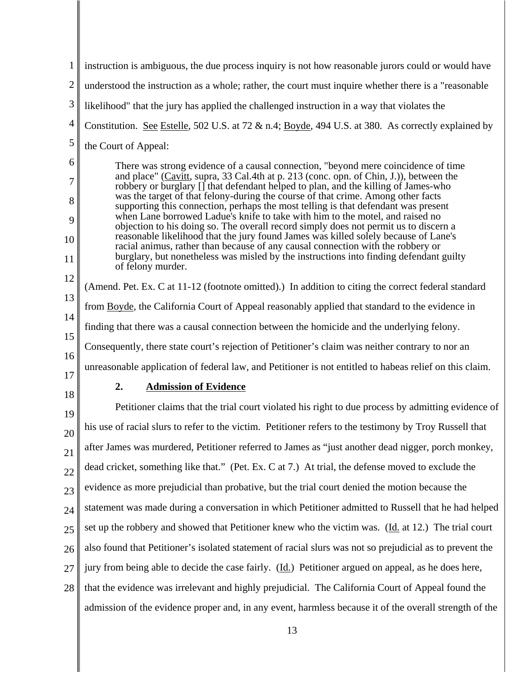| 1              | instruction is ambiguous, the due process inquiry is not how reasonable jurors could or would have                                                                           |  |  |  |  |  |
|----------------|------------------------------------------------------------------------------------------------------------------------------------------------------------------------------|--|--|--|--|--|
| $\overline{c}$ | understood the instruction as a whole; rather, the court must inquire whether there is a "reasonable"                                                                        |  |  |  |  |  |
| 3              | likelihood" that the jury has applied the challenged instruction in a way that violates the                                                                                  |  |  |  |  |  |
| 4              | Constitution. See Estelle, 502 U.S. at 72 & n.4; Boyde, 494 U.S. at 380. As correctly explained by                                                                           |  |  |  |  |  |
| 5              | the Court of Appeal:                                                                                                                                                         |  |  |  |  |  |
| 6              | There was strong evidence of a causal connection, "beyond mere coincidence of time<br>and place" (Cavitt, supra, 33 Cal.4th at p. 213 (conc. opn. of Chin, J.)), between the |  |  |  |  |  |
| 7              | robbery or burglary [] that defendant helped to plan, and the killing of James-who<br>was the target of that felony-during the course of that crime. Among other facts       |  |  |  |  |  |
| 8              | supporting this connection, perhaps the most telling is that defendant was present<br>when Lane borrowed Ladue's knife to take with him to the motel, and raised no          |  |  |  |  |  |
| 9<br>10        | objection to his doing so. The overall record simply does not permit us to discern a<br>reasonable likelihood that the jury found James was killed solely because of Lane's  |  |  |  |  |  |
| 11             | racial animus, rather than because of any causal connection with the robbery or<br>burglary, but nonetheless was misled by the instructions into finding defendant guilty    |  |  |  |  |  |
| 12             | of felony murder.                                                                                                                                                            |  |  |  |  |  |
| 13             | (Amend. Pet. Ex. C at 11-12 (footnote omitted).) In addition to citing the correct federal standard                                                                          |  |  |  |  |  |
| 14             | from Boyde, the California Court of Appeal reasonably applied that standard to the evidence in                                                                               |  |  |  |  |  |
| 15             | finding that there was a causal connection between the homicide and the underlying felony.                                                                                   |  |  |  |  |  |
| 16             | Consequently, there state court's rejection of Petitioner's claim was neither contrary to nor an                                                                             |  |  |  |  |  |
| 17             | unreasonable application of federal law, and Petitioner is not entitled to habeas relief on this claim.                                                                      |  |  |  |  |  |
| 18             | 2.<br><b>Admission of Evidence</b>                                                                                                                                           |  |  |  |  |  |
| 19             | Petitioner claims that the trial court violated his right to due process by admitting evidence of                                                                            |  |  |  |  |  |
| 20             | his use of racial slurs to refer to the victim. Petitioner refers to the testimony by Troy Russell that                                                                      |  |  |  |  |  |
| 21             | after James was murdered, Petitioner referred to James as "just another dead nigger, porch monkey,                                                                           |  |  |  |  |  |
| 22             | dead cricket, something like that." (Pet. Ex. C at 7.) At trial, the defense moved to exclude the                                                                            |  |  |  |  |  |
| 23             | evidence as more prejudicial than probative, but the trial court denied the motion because the                                                                               |  |  |  |  |  |
| 24             | statement was made during a conversation in which Petitioner admitted to Russell that he had helped                                                                          |  |  |  |  |  |
| 25             | set up the robbery and showed that Petitioner knew who the victim was. (Id. at 12.) The trial court                                                                          |  |  |  |  |  |
| 26             | also found that Petitioner's isolated statement of racial slurs was not so prejudicial as to prevent the                                                                     |  |  |  |  |  |
| 27             | jury from being able to decide the case fairly. (Id.) Petitioner argued on appeal, as he does here,                                                                          |  |  |  |  |  |
| 28             | that the evidence was irrelevant and highly prejudicial. The California Court of Appeal found the                                                                            |  |  |  |  |  |
|                | admission of the evidence proper and, in any event, harmless because it of the overall strength of the                                                                       |  |  |  |  |  |
|                |                                                                                                                                                                              |  |  |  |  |  |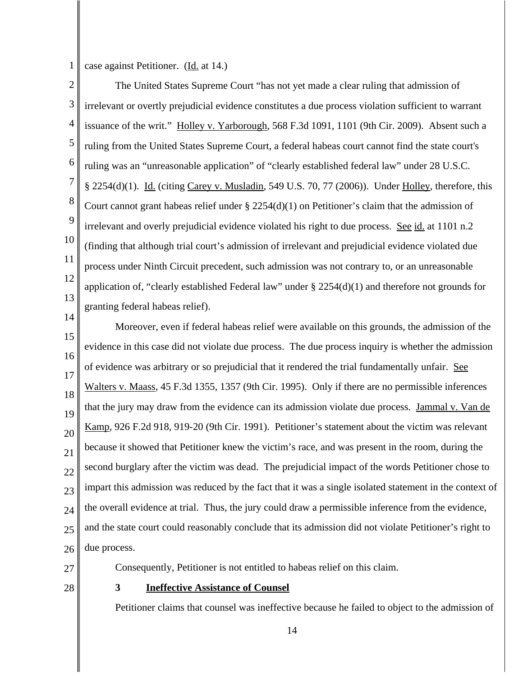1

case against Petitioner. (Id. at 14.)

2 3 4 5 6 7 8 9 10 11 12 13 The United States Supreme Court "has not yet made a clear ruling that admission of irrelevant or overtly prejudicial evidence constitutes a due process violation sufficient to warrant issuance of the writ." Holley v. Yarborough, 568 F.3d 1091, 1101 (9th Cir. 2009). Absent such a ruling from the United States Supreme Court, a federal habeas court cannot find the state court's ruling was an "unreasonable application" of "clearly established federal law" under 28 U.S.C. § 2254(d)(1). Id. (citing Carey v. Musladin, 549 U.S. 70, 77 (2006)). Under Holley, therefore, this Court cannot grant habeas relief under  $\S 2254(d)(1)$  on Petitioner's claim that the admission of irrelevant and overly prejudicial evidence violated his right to due process. See id. at 1101 n.2 (finding that although trial court's admission of irrelevant and prejudicial evidence violated due process under Ninth Circuit precedent, such admission was not contrary to, or an unreasonable application of, "clearly established Federal law" under § 2254(d)(1) and therefore not grounds for granting federal habeas relief).

15 16 17 18 19 20 21 22 23 24 25 26 Moreover, even if federal habeas relief were available on this grounds, the admission of the evidence in this case did not violate due process. The due process inquiry is whether the admission of evidence was arbitrary or so prejudicial that it rendered the trial fundamentally unfair. See Walters v. Maass, 45 F.3d 1355, 1357 (9th Cir. 1995). Only if there are no permissible inferences that the jury may draw from the evidence can its admission violate due process. Jammal v. Van de Kamp, 926 F.2d 918, 919-20 (9th Cir. 1991). Petitioner's statement about the victim was relevant because it showed that Petitioner knew the victim's race, and was present in the room, during the second burglary after the victim was dead. The prejudicial impact of the words Petitioner chose to impart this admission was reduced by the fact that it was a single isolated statement in the context of the overall evidence at trial. Thus, the jury could draw a permissible inference from the evidence, and the state court could reasonably conclude that its admission did not violate Petitioner's right to due process.

27

14

28

## **3 Ineffective Assistance of Counsel**

Consequently, Petitioner is not entitled to habeas relief on this claim.

Petitioner claims that counsel was ineffective because he failed to object to the admission of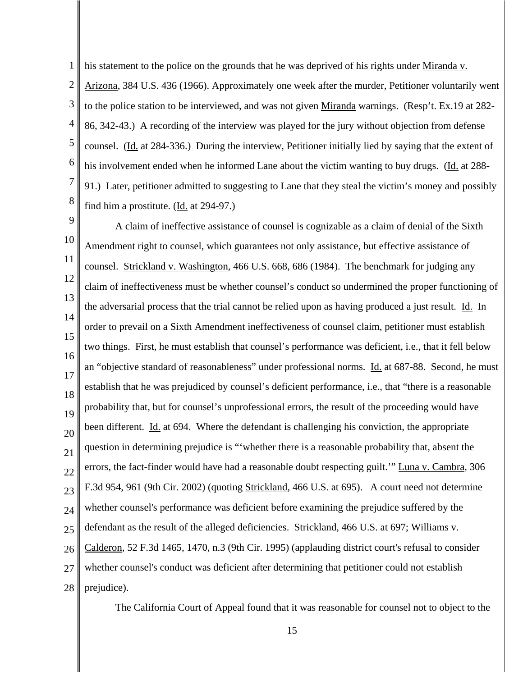his statement to the police on the grounds that he was deprived of his rights under Miranda v.

1

2 3 4 5 6 7 8 Arizona, 384 U.S. 436 (1966). Approximately one week after the murder, Petitioner voluntarily went to the police station to be interviewed, and was not given Miranda warnings. (Resp't. Ex.19 at 282- 86, 342-43.) A recording of the interview was played for the jury without objection from defense counsel. (Id. at 284-336.) During the interview, Petitioner initially lied by saying that the extent of his involvement ended when he informed Lane about the victim wanting to buy drugs. (Id. at 288- 91.) Later, petitioner admitted to suggesting to Lane that they steal the victim's money and possibly find him a prostitute.  $(\underline{Id}$  at 294-97.)

9 10 11 12 13 14 15 16 17 18 19 20 21 22 23 24 25 26 27 28 A claim of ineffective assistance of counsel is cognizable as a claim of denial of the Sixth Amendment right to counsel, which guarantees not only assistance, but effective assistance of counsel. Strickland v. Washington, 466 U.S. 668, 686 (1984). The benchmark for judging any claim of ineffectiveness must be whether counsel's conduct so undermined the proper functioning of the adversarial process that the trial cannot be relied upon as having produced a just result. Id. In order to prevail on a Sixth Amendment ineffectiveness of counsel claim, petitioner must establish two things. First, he must establish that counsel's performance was deficient, i.e., that it fell below an "objective standard of reasonableness" under professional norms. Id. at 687-88. Second, he must establish that he was prejudiced by counsel's deficient performance, i.e., that "there is a reasonable probability that, but for counsel's unprofessional errors, the result of the proceeding would have been different. Id. at 694. Where the defendant is challenging his conviction, the appropriate question in determining prejudice is "'whether there is a reasonable probability that, absent the errors, the fact-finder would have had a reasonable doubt respecting guilt.'" Luna v. Cambra, 306 F.3d 954, 961 (9th Cir. 2002) (quoting Strickland, 466 U.S. at 695). A court need not determine whether counsel's performance was deficient before examining the prejudice suffered by the defendant as the result of the alleged deficiencies. Strickland, 466 U.S. at 697; Williams v. Calderon, 52 F.3d 1465, 1470, n.3 (9th Cir. 1995) (applauding district court's refusal to consider whether counsel's conduct was deficient after determining that petitioner could not establish prejudice).

The California Court of Appeal found that it was reasonable for counsel not to object to the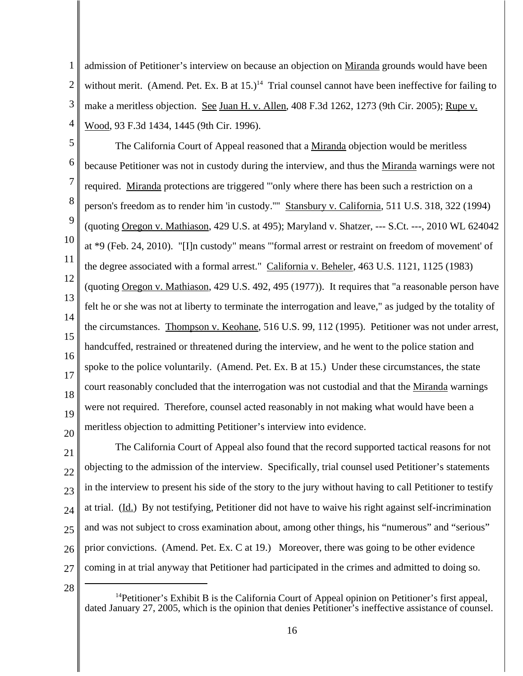1 2 3 4 admission of Petitioner's interview on because an objection on Miranda grounds would have been without merit. (Amend. Pet. Ex. B at  $15.$ )<sup>14</sup> Trial counsel cannot have been ineffective for failing to make a meritless objection. See Juan H. v. Allen, 408 F.3d 1262, 1273 (9th Cir. 2005); Rupe v. Wood, 93 F.3d 1434, 1445 (9th Cir. 1996).

5 6 7 8 9 10 11 12 13 14 15 16 17 18 19 20 The California Court of Appeal reasoned that a Miranda objection would be meritless because Petitioner was not in custody during the interview, and thus the Miranda warnings were not required. Miranda protections are triggered "'only where there has been such a restriction on a person's freedom as to render him 'in custody.''" Stansbury v. California, 511 U.S. 318, 322 (1994) (quoting Oregon v. Mathiason, 429 U.S. at 495); Maryland v. Shatzer, --- S.Ct. ---, 2010 WL 624042 at \*9 (Feb. 24, 2010). "[I]n custody" means "'formal arrest or restraint on freedom of movement' of the degree associated with a formal arrest." California v. Beheler, 463 U.S. 1121, 1125 (1983) (quoting Oregon v. Mathiason, 429 U.S. 492, 495 (1977)). It requires that "a reasonable person have felt he or she was not at liberty to terminate the interrogation and leave," as judged by the totality of the circumstances. Thompson v. Keohane, 516 U.S. 99, 112 (1995). Petitioner was not under arrest, handcuffed, restrained or threatened during the interview, and he went to the police station and spoke to the police voluntarily. (Amend. Pet. Ex. B at 15.) Under these circumstances, the state court reasonably concluded that the interrogation was not custodial and that the Miranda warnings were not required. Therefore, counsel acted reasonably in not making what would have been a meritless objection to admitting Petitioner's interview into evidence.

21 22 23 24 25 26 27 The California Court of Appeal also found that the record supported tactical reasons for not objecting to the admission of the interview. Specifically, trial counsel used Petitioner's statements in the interview to present his side of the story to the jury without having to call Petitioner to testify at trial. (Id.) By not testifying, Petitioner did not have to waive his right against self-incrimination and was not subject to cross examination about, among other things, his "numerous" and "serious" prior convictions. (Amend. Pet. Ex. C at 19.) Moreover, there was going to be other evidence coming in at trial anyway that Petitioner had participated in the crimes and admitted to doing so.

28

<sup>&</sup>lt;sup>14</sup>Petitioner's Exhibit B is the California Court of Appeal opinion on Petitioner's first appeal, dated January 27, 2005, which is the opinion that denies Petitioner's ineffective assistance of counsel.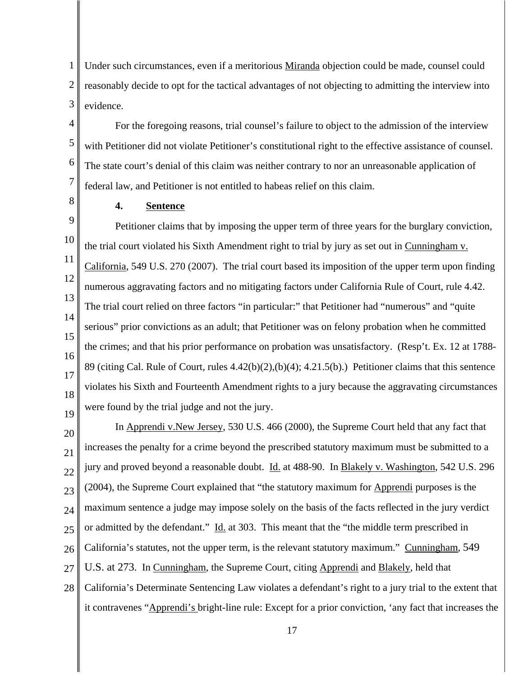1 2 3 Under such circumstances, even if a meritorious Miranda objection could be made, counsel could reasonably decide to opt for the tactical advantages of not objecting to admitting the interview into evidence.

For the foregoing reasons, trial counsel's failure to object to the admission of the interview with Petitioner did not violate Petitioner's constitutional right to the effective assistance of counsel. The state court's denial of this claim was neither contrary to nor an unreasonable application of federal law, and Petitioner is not entitled to habeas relief on this claim.

**4. Sentence**

4

5

6

7

8

9 10 11 12 13 14 15 16 17 18 19 Petitioner claims that by imposing the upper term of three years for the burglary conviction, the trial court violated his Sixth Amendment right to trial by jury as set out in Cunningham v. California, 549 U.S. 270 (2007). The trial court based its imposition of the upper term upon finding numerous aggravating factors and no mitigating factors under California Rule of Court, rule 4.42. The trial court relied on three factors "in particular:" that Petitioner had "numerous" and "quite serious" prior convictions as an adult; that Petitioner was on felony probation when he committed the crimes; and that his prior performance on probation was unsatisfactory. (Resp't. Ex. 12 at 1788- 89 (citing Cal. Rule of Court, rules 4.42(b)(2),(b)(4); 4.21.5(b).) Petitioner claims that this sentence violates his Sixth and Fourteenth Amendment rights to a jury because the aggravating circumstances were found by the trial judge and not the jury.

20 21 22 23 24 25 26 27 28 In Apprendi v.New Jersey, 530 U.S. 466 (2000), the Supreme Court held that any fact that increases the penalty for a crime beyond the prescribed statutory maximum must be submitted to a jury and proved beyond a reasonable doubt. Id. at 488-90. In Blakely v. Washington, 542 U.S. 296 (2004), the Supreme Court explained that "the statutory maximum for Apprendi purposes is the maximum sentence a judge may impose solely on the basis of the facts reflected in the jury verdict or admitted by the defendant." Id. at 303. This meant that the "the middle term prescribed in California's statutes, not the upper term, is the relevant statutory maximum." Cunningham, 549 U.S. at 273. In Cunningham, the Supreme Court, citing Apprendi and Blakely, held that California's Determinate Sentencing Law violates a defendant's right to a jury trial to the extent that it contravenes "Apprendi's bright-line rule: Except for a prior conviction, 'any fact that increases the

17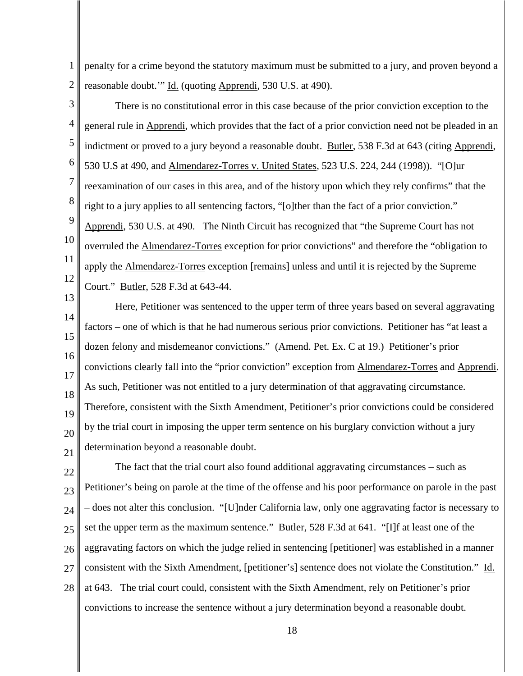1 2 penalty for a crime beyond the statutory maximum must be submitted to a jury, and proven beyond a reasonable doubt.'" Id. (quoting Apprendi, 530 U.S. at 490).

3

4 5 6 7 8 9 10 11 12 There is no constitutional error in this case because of the prior conviction exception to the general rule in Apprendi, which provides that the fact of a prior conviction need not be pleaded in an indictment or proved to a jury beyond a reasonable doubt. Butler, 538 F.3d at 643 (citing Apprendi, 530 U.S at 490, and Almendarez-Torres v. United States, 523 U.S. 224, 244 (1998)). "[O]ur reexamination of our cases in this area, and of the history upon which they rely confirms" that the right to a jury applies to all sentencing factors, "[o]ther than the fact of a prior conviction." Apprendi, 530 U.S. at 490. The Ninth Circuit has recognized that "the Supreme Court has not overruled the Almendarez-Torres exception for prior convictions" and therefore the "obligation to apply the Almendarez-Torres exception [remains] unless and until it is rejected by the Supreme Court." Butler, 528 F.3d at 643-44.

13 14 15 16 17 18 19 20 21 Here, Petitioner was sentenced to the upper term of three years based on several aggravating factors – one of which is that he had numerous serious prior convictions. Petitioner has "at least a dozen felony and misdemeanor convictions." (Amend. Pet. Ex. C at 19.) Petitioner's prior convictions clearly fall into the "prior conviction" exception from Almendarez-Torres and Apprendi. As such, Petitioner was not entitled to a jury determination of that aggravating circumstance. Therefore, consistent with the Sixth Amendment, Petitioner's prior convictions could be considered by the trial court in imposing the upper term sentence on his burglary conviction without a jury determination beyond a reasonable doubt.

22 23 24 25 26 27 28 The fact that the trial court also found additional aggravating circumstances – such as Petitioner's being on parole at the time of the offense and his poor performance on parole in the past – does not alter this conclusion. "[U]nder California law, only one aggravating factor is necessary to set the upper term as the maximum sentence." Butler, 528 F.3d at 641. "[I]f at least one of the aggravating factors on which the judge relied in sentencing [petitioner] was established in a manner consistent with the Sixth Amendment, [petitioner's] sentence does not violate the Constitution." Id. at 643. The trial court could, consistent with the Sixth Amendment, rely on Petitioner's prior convictions to increase the sentence without a jury determination beyond a reasonable doubt.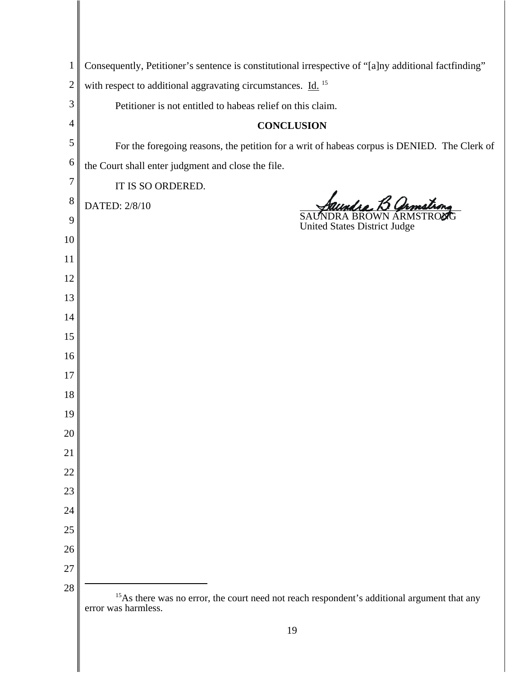| $\mathbf{1}$   | Consequently, Petitioner's sentence is constitutional irrespective of "[a]ny additional factfinding"                           |
|----------------|--------------------------------------------------------------------------------------------------------------------------------|
| $\overline{2}$ | with respect to additional aggravating circumstances. Id. <sup>15</sup>                                                        |
| 3              | Petitioner is not entitled to habeas relief on this claim.                                                                     |
| 4              | <b>CONCLUSION</b>                                                                                                              |
| 5              | For the foregoing reasons, the petition for a writ of habeas corpus is DENIED. The Clerk of                                    |
| 6              | the Court shall enter judgment and close the file.                                                                             |
| $\overline{7}$ | IT IS SO ORDERED.                                                                                                              |
| 8<br>9         | DATED: 2/8/10                                                                                                                  |
| 10             | <b>United States District Judge</b>                                                                                            |
| 11             |                                                                                                                                |
| 12             |                                                                                                                                |
| 13             |                                                                                                                                |
| 14             |                                                                                                                                |
| 15             |                                                                                                                                |
| 16             |                                                                                                                                |
| 17             |                                                                                                                                |
| 18             |                                                                                                                                |
| 19             |                                                                                                                                |
| 20             |                                                                                                                                |
| 21             |                                                                                                                                |
| 22             |                                                                                                                                |
| 23             |                                                                                                                                |
| 24             |                                                                                                                                |
| 25             |                                                                                                                                |
| 26             |                                                                                                                                |
| 27             |                                                                                                                                |
| 28             | <sup>15</sup> As there was no error, the court need not reach respondent's additional argument that any<br>error was harmless. |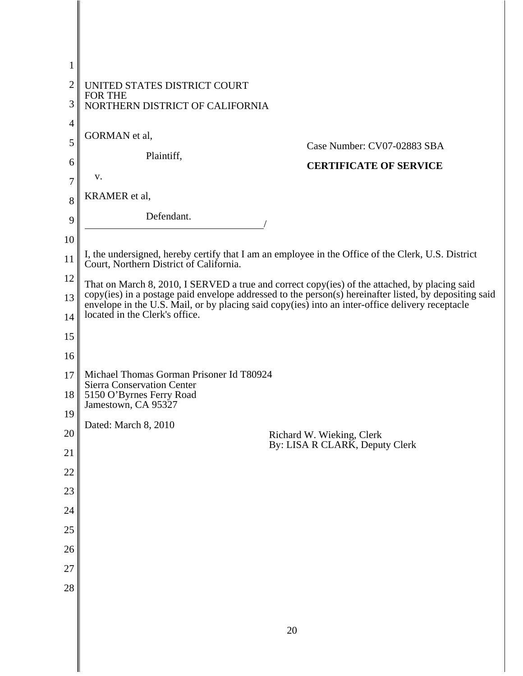| 1              |                                                                                                                                                                                                            |
|----------------|------------------------------------------------------------------------------------------------------------------------------------------------------------------------------------------------------------|
| $\overline{2}$ | UNITED STATES DISTRICT COURT                                                                                                                                                                               |
| 3              | <b>FOR THE</b><br>NORTHERN DISTRICT OF CALIFORNIA                                                                                                                                                          |
| $\overline{4}$ |                                                                                                                                                                                                            |
| 5              | GORMAN et al,<br>Case Number: CV07-02883 SBA                                                                                                                                                               |
| 6              | Plaintiff,<br><b>CERTIFICATE OF SERVICE</b>                                                                                                                                                                |
| 7              | V.                                                                                                                                                                                                         |
| 8              | KRAMER et al,                                                                                                                                                                                              |
| 9              | Defendant.                                                                                                                                                                                                 |
| 10             |                                                                                                                                                                                                            |
| 11             | I, the undersigned, hereby certify that I am an employee in the Office of the Clerk, U.S. District<br>Court, Northern District of California.                                                              |
| 12             | That on March 8, 2010, I SERVED a true and correct copy(ies) of the attached, by placing said                                                                                                              |
| 13             | copy(ies) in a postage paid envelope addressed to the person(s) hereinafter listed, by depositing said<br>envelope in the U.S. Mail, or by placing said copy(ies) into an inter-office delivery receptacle |
| 14             | located in the Clerk's office.                                                                                                                                                                             |
| 15             |                                                                                                                                                                                                            |
| 16             |                                                                                                                                                                                                            |
| 17             | Michael Thomas Gorman Prisoner Id T80924                                                                                                                                                                   |
| 18             | <b>Sierra Conservation Center</b><br>5150 O'Byrnes Ferry Road                                                                                                                                              |
| 19             | Jamestown, CA 95327                                                                                                                                                                                        |
| 20             | Dated: March 8, 2010<br>Richard W. Wieking, Clerk                                                                                                                                                          |
| 21             | By: LISA R CLARK, Deputy Clerk                                                                                                                                                                             |
| 22             |                                                                                                                                                                                                            |
| 23             |                                                                                                                                                                                                            |
| 24             |                                                                                                                                                                                                            |
| 25             |                                                                                                                                                                                                            |
| 26             |                                                                                                                                                                                                            |
| 27             |                                                                                                                                                                                                            |
| 28             |                                                                                                                                                                                                            |
|                |                                                                                                                                                                                                            |

║